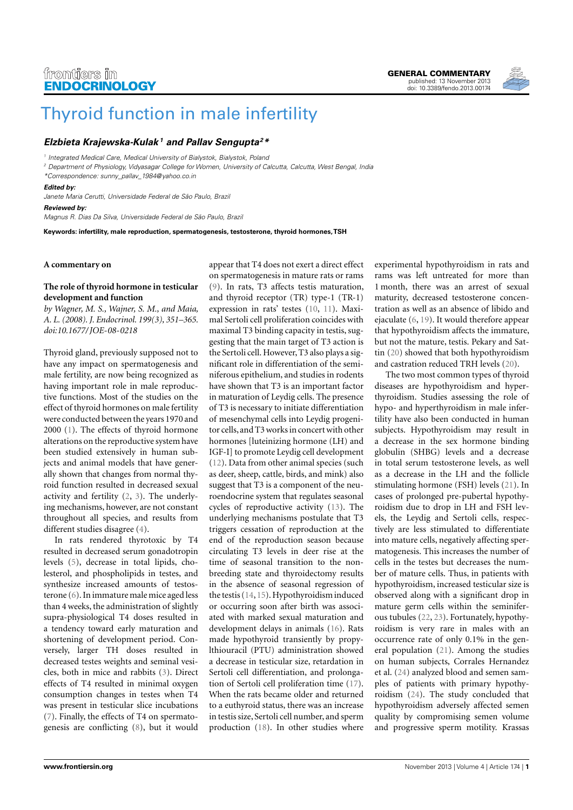

# [Thyroid function in male infertility](http://www.frontiersin.org/Journal/10.3389/fendo.2013.00174/abstract)

## **[Elzbieta Krajewska-Kulak](http://www.frontiersin.org/people/ElzbietaKrajewska-Kulak/120743) <sup>1</sup> and [Pallav Sengupta](http://www.frontiersin.org/people/u/112637)<sup>2</sup>\***

<sup>1</sup> Integrated Medical Care, Medical University of Bialystok, Bialystok, Poland

<sup>2</sup> Department of Physiology, Vidyasagar College for Women, University of Calcutta, Calcutta, West Bengal, India

\*Correspondence: [sunny\\_pallav\\_1984@yahoo.co.in](mailto:sunny_pallav_1984@yahoo.co.in)

#### **Edited by:**

Janete Maria Cerutti, Universidade Federal de São Paulo, Brazil

**Reviewed by:**

Magnus R. Dias Da Silva, Universidade Federal de São Paulo, Brazil

**Keywords: infertility, male reproduction, spermatogenesis, testosterone, thyroid hormones,TSH**

#### **A commentary on**

### **The role of thyroid hormone in testicular development and function**

*by Wagner, M. S., Wajner, S. M., and Maia, A. L. (2008). J. Endocrinol. 199(3), 351–365. doi[:10.1677/ JOE-08-0218](http://dx.doi.org/10.1677/JOE-08-0218)*

Thyroid gland, previously supposed not to have any impact on spermatogenesis and male fertility, are now being recognized as having important role in male reproductive functions. Most of the studies on the effect of thyroid hormones on male fertility were conducted between the years 1970 and 2000 [\(1\)](#page-1-0). The effects of thyroid hormone alterations on the reproductive system have been studied extensively in human subjects and animal models that have generally shown that changes from normal thyroid function resulted in decreased sexual activity and fertility [\(2,](#page-1-1) [3\)](#page-1-2). The underlying mechanisms, however, are not constant throughout all species, and results from different studies disagree [\(4\)](#page-1-3).

In rats rendered thyrotoxic by T4 resulted in decreased serum gonadotropin levels [\(5\)](#page-1-4), decrease in total lipids, cholesterol, and phospholipids in testes, and synthesize increased amounts of testosterone [\(6\)](#page-1-5). In immature male mice aged less than 4 weeks, the administration of slightly supra-physiological T4 doses resulted in a tendency toward early maturation and shortening of development period. Conversely, larger TH doses resulted in decreased testes weights and seminal vesicles, both in mice and rabbits [\(3\)](#page-1-2). Direct effects of T4 resulted in minimal oxygen consumption changes in testes when T4 was present in testicular slice incubations [\(7\)](#page-1-6). Finally, the effects of T4 on spermatogenesis are conflicting [\(8\)](#page-1-7), but it would

appear that T4 does not exert a direct effect on spermatogenesis in mature rats or rams [\(9\)](#page-1-8). In rats, T3 affects testis maturation, and thyroid receptor (TR) type-1 (TR-1) expression in rats' testes [\(10,](#page-1-9) [11\)](#page-1-10). Maximal Sertoli cell proliferation coincides with maximal T3 binding capacity in testis, suggesting that the main target of T3 action is the Sertoli cell. However, T3 also plays a significant role in differentiation of the seminiferous epithelium, and studies in rodents have shown that T3 is an important factor in maturation of Leydig cells. The presence of T3 is necessary to initiate differentiation of mesenchymal cells into Leydig progenitor cells, and T3 works in concert with other hormones [luteinizing hormone (LH) and IGF-I] to promote Leydig cell development [\(12\)](#page-1-11). Data from other animal species (such as deer, sheep, cattle, birds, and mink) also suggest that T3 is a component of the neuroendocrine system that regulates seasonal cycles of reproductive activity [\(13\)](#page-1-12). The underlying mechanisms postulate that T3 triggers cessation of reproduction at the end of the reproduction season because circulating T3 levels in deer rise at the time of seasonal transition to the nonbreeding state and thyroidectomy results in the absence of seasonal regression of the testis [\(14,](#page-1-13)[15\)](#page-1-14). Hypothyroidism induced or occurring soon after birth was associated with marked sexual maturation and development delays in animals [\(16\)](#page-1-15). Rats made hypothyroid transiently by propylthiouracil (PTU) administration showed a decrease in testicular size, retardation in Sertoli cell differentiation, and prolongation of Sertoli cell proliferation time [\(17\)](#page-1-16). When the rats became older and returned to a euthyroid status, there was an increase in testis size, Sertoli cell number, and sperm production [\(18\)](#page-1-17). In other studies where experimental hypothyroidism in rats and rams was left untreated for more than 1 month, there was an arrest of sexual maturity, decreased testosterone concentration as well as an absence of libido and ejaculate [\(6,](#page-1-5) [19\)](#page-1-18). It would therefore appear that hypothyroidism affects the immature, but not the mature, testis. Pekary and Sattin [\(20\)](#page-1-19) showed that both hypothyroidism and castration reduced TRH levels [\(20\)](#page-1-19).

The two most common types of thyroid diseases are hypothyroidism and hyperthyroidism. Studies assessing the role of hypo- and hyperthyroidism in male infertility have also been conducted in human subjects. Hypothyroidism may result in a decrease in the sex hormone binding globulin (SHBG) levels and a decrease in total serum testosterone levels, as well as a decrease in the LH and the follicle stimulating hormone (FSH) levels [\(21\)](#page-1-20). In cases of prolonged pre-pubertal hypothyroidism due to drop in LH and FSH levels, the Leydig and Sertoli cells, respectively are less stimulated to differentiate into mature cells, negatively affecting spermatogenesis. This increases the number of cells in the testes but decreases the number of mature cells. Thus, in patients with hypothyroidism, increased testicular size is observed along with a significant drop in mature germ cells within the seminiferous tubules [\(22,](#page-1-21) [23\)](#page-1-22). Fortunately, hypothyroidism is very rare in males with an occurrence rate of only 0.1% in the general population [\(21\)](#page-1-20). Among the studies on human subjects, Corrales Hernandez et al. [\(24\)](#page-1-23) analyzed blood and semen samples of patients with primary hypothyroidism [\(24\)](#page-1-23). The study concluded that hypothyroidism adversely affected semen quality by compromising semen volume and progressive sperm motility. Krassas